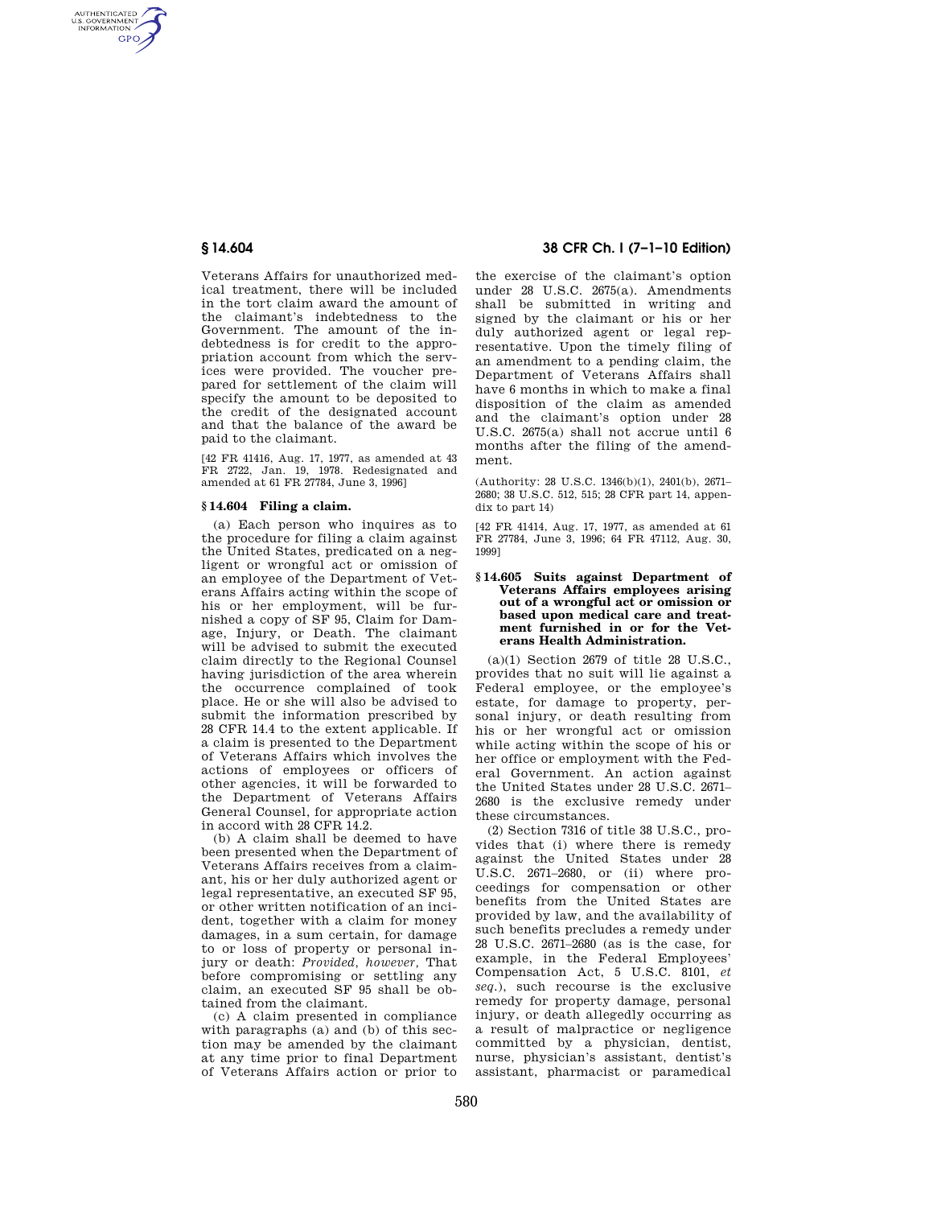AUTHENTICATED<br>U.S. GOVERNMENT<br>INFORMATION **GPO** 

> Veterans Affairs for unauthorized medical treatment, there will be included in the tort claim award the amount of the claimant's indebtedness to the Government. The amount of the indebtedness is for credit to the appropriation account from which the services were provided. The voucher prepared for settlement of the claim will specify the amount to be deposited to the credit of the designated account and that the balance of the award be paid to the claimant.

[42 FR 41416, Aug. 17, 1977, as amended at 43 FR 2722, Jan. 19, 1978. Redesignated and amended at 61 FR 27784, June 3, 1996]

## **§ 14.604 Filing a claim.**

(a) Each person who inquires as to the procedure for filing a claim against the United States, predicated on a negligent or wrongful act or omission of an employee of the Department of Veterans Affairs acting within the scope of his or her employment, will be furnished a copy of SF 95, Claim for Damage, Injury, or Death. The claimant will be advised to submit the executed claim directly to the Regional Counsel having jurisdiction of the area wherein the occurrence complained of took place. He or she will also be advised to submit the information prescribed by 28 CFR 14.4 to the extent applicable. If a claim is presented to the Department of Veterans Affairs which involves the actions of employees or officers of other agencies, it will be forwarded to the Department of Veterans Affairs General Counsel, for appropriate action in accord with 28 CFR 14.2.

(b) A claim shall be deemed to have been presented when the Department of Veterans Affairs receives from a claimant, his or her duly authorized agent or legal representative, an executed SF 95, or other written notification of an incident, together with a claim for money damages, in a sum certain, for damage to or loss of property or personal injury or death: *Provided, however,* That before compromising or settling any claim, an executed SF 95 shall be obtained from the claimant.

(c) A claim presented in compliance with paragraphs (a) and (b) of this section may be amended by the claimant at any time prior to final Department of Veterans Affairs action or prior to

# **§ 14.604 38 CFR Ch. I (7–1–10 Edition)**

the exercise of the claimant's option under 28 U.S.C. 2675(a). Amendments shall be submitted in writing and signed by the claimant or his or her duly authorized agent or legal representative. Upon the timely filing of an amendment to a pending claim, the Department of Veterans Affairs shall have 6 months in which to make a final disposition of the claim as amended and the claimant's option under 28 U.S.C. 2675(a) shall not accrue until 6 months after the filing of the amendment.

(Authority: 28 U.S.C. 1346(b)(1), 2401(b), 2671– 2680; 38 U.S.C. 512, 515; 28 CFR part 14, appendix to part 14)

[42 FR 41414, Aug. 17, 1977, as amended at 61 FR 27784, June 3, 1996; 64 FR 47112, Aug. 30, 1999]

### **§ 14.605 Suits against Department of Veterans Affairs employees arising out of a wrongful act or omission or based upon medical care and treatment furnished in or for the Veterans Health Administration.**

(a)(1) Section 2679 of title 28 U.S.C., provides that no suit will lie against a Federal employee, or the employee's estate, for damage to property, personal injury, or death resulting from his or her wrongful act or omission while acting within the scope of his or her office or employment with the Federal Government. An action against the United States under 28 U.S.C. 2671– 2680 is the exclusive remedy under these circumstances.

(2) Section 7316 of title 38 U.S.C., provides that (i) where there is remedy against the United States under 28 U.S.C. 2671–2680, or (ii) where proceedings for compensation or other benefits from the United States are provided by law, and the availability of such benefits precludes a remedy under 28 U.S.C. 2671–2680 (as is the case, for example, in the Federal Employees' Compensation Act, 5 U.S.C. 8101, *et seq.*), such recourse is the exclusive remedy for property damage, personal injury, or death allegedly occurring as a result of malpractice or negligence committed by a physician, dentist, nurse, physician's assistant, dentist's assistant, pharmacist or paramedical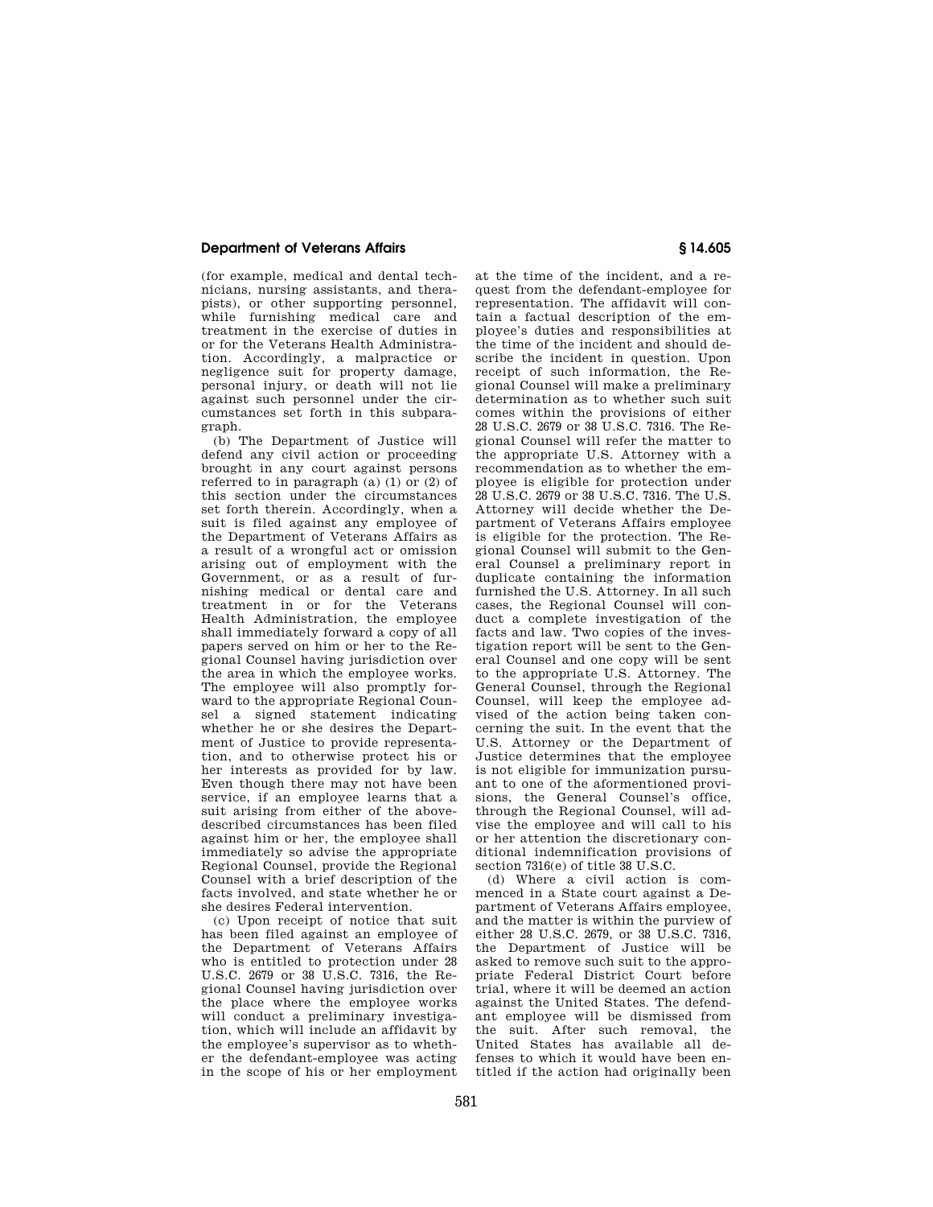## **Department of Veterans Affairs § 14.605**

(for example, medical and dental technicians, nursing assistants, and therapists), or other supporting personnel, while furnishing medical care and treatment in the exercise of duties in or for the Veterans Health Administration. Accordingly, a malpractice or negligence suit for property damage, personal injury, or death will not lie against such personnel under the circumstances set forth in this subparagraph.

(b) The Department of Justice will defend any civil action or proceeding brought in any court against persons referred to in paragraph (a) (1) or (2) of this section under the circumstances set forth therein. Accordingly, when a suit is filed against any employee of the Department of Veterans Affairs as a result of a wrongful act or omission arising out of employment with the Government, or as a result of furnishing medical or dental care and treatment in or for the Veterans Health Administration, the employee shall immediately forward a copy of all papers served on him or her to the Regional Counsel having jurisdiction over the area in which the employee works. The employee will also promptly forward to the appropriate Regional Counsel a signed statement indicating whether he or she desires the Department of Justice to provide representation, and to otherwise protect his or her interests as provided for by law. Even though there may not have been service, if an employee learns that a suit arising from either of the abovedescribed circumstances has been filed against him or her, the employee shall immediately so advise the appropriate Regional Counsel, provide the Regional Counsel with a brief description of the facts involved, and state whether he or she desires Federal intervention.

(c) Upon receipt of notice that suit has been filed against an employee of the Department of Veterans Affairs who is entitled to protection under 28 U.S.C. 2679 or 38 U.S.C. 7316, the Regional Counsel having jurisdiction over the place where the employee works will conduct a preliminary investigation, which will include an affidavit by the employee's supervisor as to whether the defendant-employee was acting in the scope of his or her employment

at the time of the incident, and a request from the defendant-employee for representation. The affidavit will contain a factual description of the employee's duties and responsibilities at the time of the incident and should describe the incident in question. Upon receipt of such information, the Regional Counsel will make a preliminary determination as to whether such suit comes within the provisions of either 28 U.S.C. 2679 or 38 U.S.C. 7316. The Regional Counsel will refer the matter to the appropriate U.S. Attorney with a recommendation as to whether the employee is eligible for protection under 28 U.S.C. 2679 or 38 U.S.C. 7316. The U.S. Attorney will decide whether the Department of Veterans Affairs employee is eligible for the protection. The Regional Counsel will submit to the General Counsel a preliminary report in duplicate containing the information furnished the U.S. Attorney. In all such cases, the Regional Counsel will conduct a complete investigation of the facts and law. Two copies of the investigation report will be sent to the General Counsel and one copy will be sent to the appropriate U.S. Attorney. The General Counsel, through the Regional Counsel, will keep the employee advised of the action being taken concerning the suit. In the event that the U.S. Attorney or the Department of Justice determines that the employee is not eligible for immunization pursuant to one of the aformentioned provisions, the General Counsel's office, through the Regional Counsel, will advise the employee and will call to his or her attention the discretionary conditional indemnification provisions of section 7316(e) of title 38 U.S.C.

(d) Where a civil action is commenced in a State court against a Department of Veterans Affairs employee, and the matter is within the purview of either 28 U.S.C. 2679, or 38 U.S.C. 7316, the Department of Justice will be asked to remove such suit to the appropriate Federal District Court before trial, where it will be deemed an action against the United States. The defendant employee will be dismissed from the suit. After such removal, the United States has available all defenses to which it would have been entitled if the action had originally been